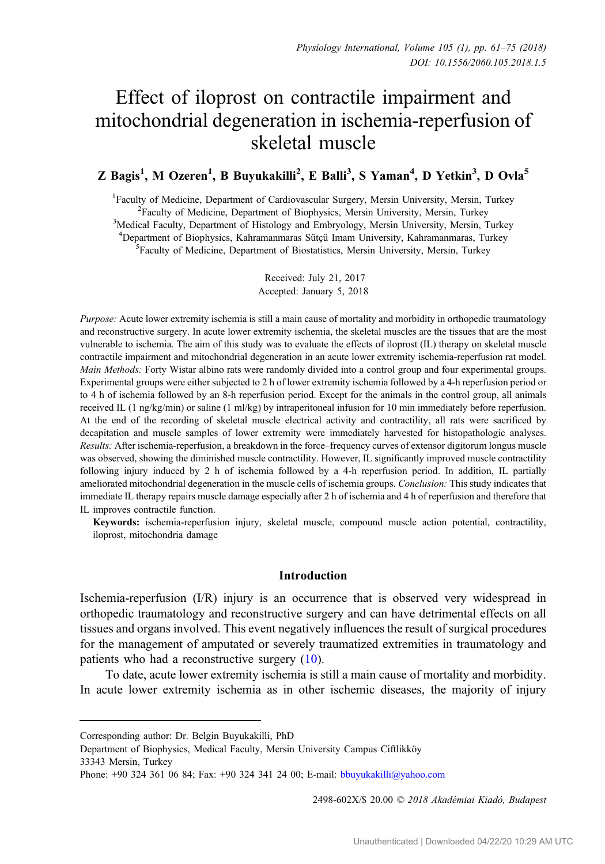# Effect of iloprost on contractile impairment and mitochondrial degeneration in ischemia-reperfusion of skeletal muscle

# Z Bagis<sup>1</sup>, M Ozeren<sup>1</sup>, B Buyukakilli<sup>2</sup>, E Balli<sup>3</sup>, S Yaman<sup>4</sup>, D Yetkin<sup>3</sup>, D Ovla<sup>5</sup>

<sup>1</sup> Faculty of Medicine, Department of Cardiovascular Surgery, Mersin University, Mersin, Turkey Faculty of Medicine, Department of Biophysics, Mersin University, Mersin, Turkey <sup>3</sup> Medical Faculty, Department of Histology and Embryology, Mersin University, Mersin, Turkey <sup>4</sup>Department of Biophysics, Kahramanmaras Sütçü Imam University, Kahramanmaras, Turkey Faculty of Medicine, Department of Biostatistics, Mersin University, Mersin, Turkey

> Received: July 21, 2017 Accepted: January 5, 2018

Purpose: Acute lower extremity ischemia is still a main cause of mortality and morbidity in orthopedic traumatology and reconstructive surgery. In acute lower extremity ischemia, the skeletal muscles are the tissues that are the most vulnerable to ischemia. The aim of this study was to evaluate the effects of iloprost (IL) therapy on skeletal muscle contractile impairment and mitochondrial degeneration in an acute lower extremity ischemia-reperfusion rat model. Main Methods: Forty Wistar albino rats were randomly divided into a control group and four experimental groups. Experimental groups were either subjected to 2 h of lower extremity ischemia followed by a 4-h reperfusion period or to 4 h of ischemia followed by an 8-h reperfusion period. Except for the animals in the control group, all animals received IL (1 ng/kg/min) or saline (1 ml/kg) by intraperitoneal infusion for 10 min immediately before reperfusion. At the end of the recording of skeletal muscle electrical activity and contractility, all rats were sacrificed by decapitation and muscle samples of lower extremity were immediately harvested for histopathologic analyses. Results: After ischemia-reperfusion, a breakdown in the force–frequency curves of extensor digitorum longus muscle was observed, showing the diminished muscle contractility. However, IL significantly improved muscle contractility following injury induced by 2 h of ischemia followed by a 4-h reperfusion period. In addition, IL partially ameliorated mitochondrial degeneration in the muscle cells of ischemia groups. *Conclusion:* This study indicates that immediate IL therapy repairs muscle damage especially after 2 h of ischemia and 4 h of reperfusion and therefore that IL improves contractile function.

Keywords: ischemia-reperfusion injury, skeletal muscle, compound muscle action potential, contractility, iloprost, mitochondria damage

#### Introduction

Ischemia-reperfusion (I/R) injury is an occurrence that is observed very widespread in orthopedic traumatology and reconstructive surgery and can have detrimental effects on all tissues and organs involved. This event negatively influences the result of surgical procedures for the management of amputated or severely traumatized extremities in traumatology and patients who had a reconstructive surgery ([10\)](#page-13-0).

To date, acute lower extremity ischemia is still a main cause of mortality and morbidity. In acute lower extremity ischemia as in other ischemic diseases, the majority of injury

2498-602X/\$ 20.00 © 2018 Akadémiai Kiadó, Budapest

Corresponding author: Dr. Belgin Buyukakilli, PhD

Department of Biophysics, Medical Faculty, Mersin University Campus Ciftlikköy 33343 Mersin, Turkey

Phone: +90 324 361 06 84; Fax: +90 324 341 24 00; E-mail: [bbuyukakilli@yahoo.com](mailto:bbuyukakilli@yahoo.com)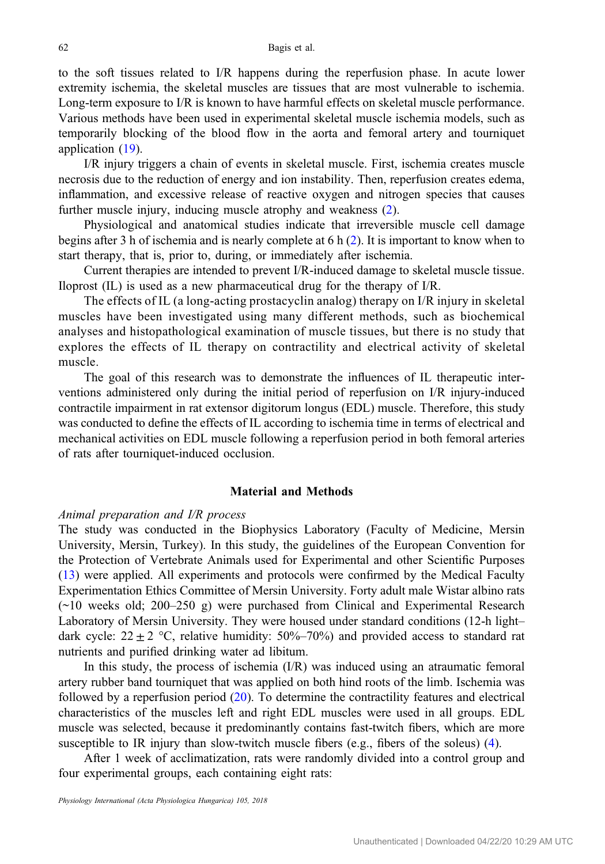to the soft tissues related to I/R happens during the reperfusion phase. In acute lower extremity ischemia, the skeletal muscles are tissues that are most vulnerable to ischemia. Long-term exposure to I/R is known to have harmful effects on skeletal muscle performance. Various methods have been used in experimental skeletal muscle ischemia models, such as temporarily blocking of the blood flow in the aorta and femoral artery and tourniquet application ([19\)](#page-14-0).

I/R injury triggers a chain of events in skeletal muscle. First, ischemia creates muscle necrosis due to the reduction of energy and ion instability. Then, reperfusion creates edema, inflammation, and excessive release of reactive oxygen and nitrogen species that causes further muscle injury, inducing muscle atrophy and weakness ([2\)](#page-13-0).

Physiological and anatomical studies indicate that irreversible muscle cell damage begins after 3 h of ischemia and is nearly complete at 6 h ([2\)](#page-13-0). It is important to know when to start therapy, that is, prior to, during, or immediately after ischemia.

Current therapies are intended to prevent I/R-induced damage to skeletal muscle tissue. Iloprost (IL) is used as a new pharmaceutical drug for the therapy of I/R.

The effects of IL (a long-acting prostacyclin analog) therapy on I/R injury in skeletal muscles have been investigated using many different methods, such as biochemical analyses and histopathological examination of muscle tissues, but there is no study that explores the effects of IL therapy on contractility and electrical activity of skeletal muscle.

The goal of this research was to demonstrate the influences of IL therapeutic interventions administered only during the initial period of reperfusion on I/R injury-induced contractile impairment in rat extensor digitorum longus (EDL) muscle. Therefore, this study was conducted to define the effects of IL according to ischemia time in terms of electrical and mechanical activities on EDL muscle following a reperfusion period in both femoral arteries of rats after tourniquet-induced occlusion.

# Material and Methods

#### Animal preparation and I/R process

The study was conducted in the Biophysics Laboratory (Faculty of Medicine, Mersin University, Mersin, Turkey). In this study, the guidelines of the European Convention for the Protection of Vertebrate Animals used for Experimental and other Scientific Purposes [\(13](#page-13-0)) were applied. All experiments and protocols were confirmed by the Medical Faculty Experimentation Ethics Committee of Mersin University. Forty adult male Wistar albino rats (~10 weeks old; 200–250 g) were purchased from Clinical and Experimental Research Laboratory of Mersin University. They were housed under standard conditions (12-h light– dark cycle:  $22 \pm 2$  °C, relative humidity:  $50\% - 70\%$ ) and provided access to standard rat nutrients and purified drinking water ad libitum.

In this study, the process of ischemia (I/R) was induced using an atraumatic femoral artery rubber band tourniquet that was applied on both hind roots of the limb. Ischemia was followed by a reperfusion period  $(20)$  $(20)$ . To determine the contractility features and electrical characteristics of the muscles left and right EDL muscles were used in all groups. EDL muscle was selected, because it predominantly contains fast-twitch fibers, which are more susceptible to IR injury than slow-twitch muscle fibers (e.g., fibers of the soleus) [\(4](#page-13-0)).

After 1 week of acclimatization, rats were randomly divided into a control group and four experimental groups, each containing eight rats: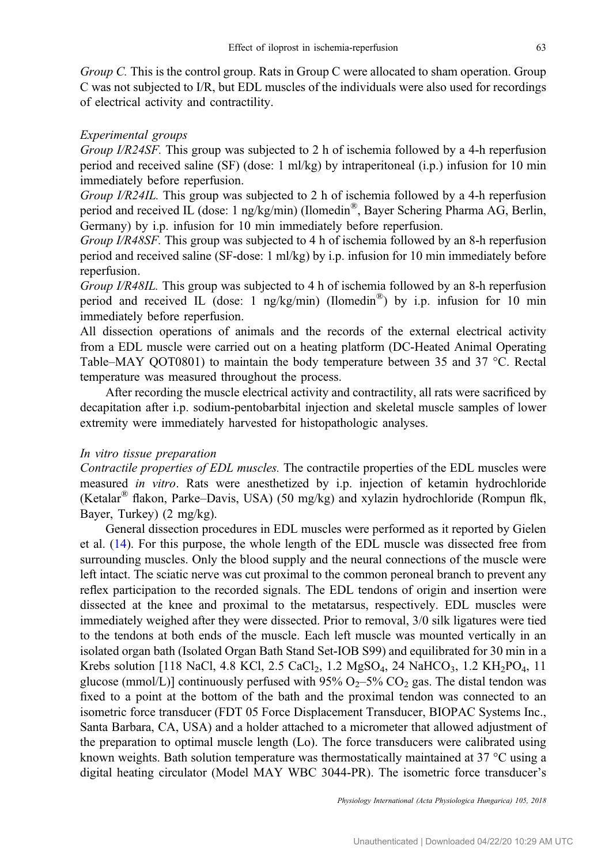Group C. This is the control group. Rats in Group C were allocated to sham operation. Group C was not subjected to I/R, but EDL muscles of the individuals were also used for recordings of electrical activity and contractility.

# Experimental groups

Group I/R24SF. This group was subjected to 2 h of ischemia followed by a 4-h reperfusion period and received saline (SF) (dose: 1 ml/kg) by intraperitoneal (i.p.) infusion for 10 min immediately before reperfusion.

Group I/R24IL. This group was subjected to 2 h of ischemia followed by a 4-h reperfusion period and received IL (dose: 1 ng/kg/min) (Ilomedin®, Bayer Schering Pharma AG, Berlin, Germany) by i.p. infusion for 10 min immediately before reperfusion.

Group I/R48SF. This group was subjected to 4 h of ischemia followed by an 8-h reperfusion period and received saline (SF-dose: 1 ml/kg) by i.p. infusion for 10 min immediately before reperfusion.

Group I/R48IL. This group was subjected to 4 h of ischemia followed by an 8-h reperfusion period and received IL (dose: 1 ng/kg/min) (Ilomedin<sup>®</sup>) by i.p. infusion for 10 min immediately before reperfusion.

All dissection operations of animals and the records of the external electrical activity from a EDL muscle were carried out on a heating platform (DC-Heated Animal Operating Table–MAY QOT0801) to maintain the body temperature between 35 and 37 °C. Rectal temperature was measured throughout the process.

After recording the muscle electrical activity and contractility, all rats were sacrificed by decapitation after i.p. sodium-pentobarbital injection and skeletal muscle samples of lower extremity were immediately harvested for histopathologic analyses.

#### In vitro tissue preparation

Contractile properties of EDL muscles. The contractile properties of the EDL muscles were measured in vitro. Rats were anesthetized by i.p. injection of ketamin hydrochloride (Ketalar® flakon, Parke–Davis, USA) (50 mg/kg) and xylazin hydrochloride (Rompun flk, Bayer, Turkey) (2 mg/kg).

General dissection procedures in EDL muscles were performed as it reported by Gielen et al. ([14\)](#page-13-0). For this purpose, the whole length of the EDL muscle was dissected free from surrounding muscles. Only the blood supply and the neural connections of the muscle were left intact. The sciatic nerve was cut proximal to the common peroneal branch to prevent any reflex participation to the recorded signals. The EDL tendons of origin and insertion were dissected at the knee and proximal to the metatarsus, respectively. EDL muscles were immediately weighed after they were dissected. Prior to removal, 3/0 silk ligatures were tied to the tendons at both ends of the muscle. Each left muscle was mounted vertically in an isolated organ bath (Isolated Organ Bath Stand Set-IOB S99) and equilibrated for 30 min in a Krebs solution [118 NaCl, 4.8 KCl, 2.5 CaCl<sub>2</sub>, 1.2 MgSO<sub>4</sub>, 24 NaHCO<sub>3</sub>, 1.2 KH<sub>2</sub>PO<sub>4</sub>, 11 glucose (mmol/L)] continuously perfused with 95%  $O_2$ –5% CO<sub>2</sub> gas. The distal tendon was fixed to a point at the bottom of the bath and the proximal tendon was connected to an isometric force transducer (FDT 05 Force Displacement Transducer, BIOPAC Systems Inc., Santa Barbara, CA, USA) and a holder attached to a micrometer that allowed adjustment of the preparation to optimal muscle length (Lo). The force transducers were calibrated using known weights. Bath solution temperature was thermostatically maintained at 37  $^{\circ}$ C using a digital heating circulator (Model MAY WBC 3044-PR). The isometric force transducer's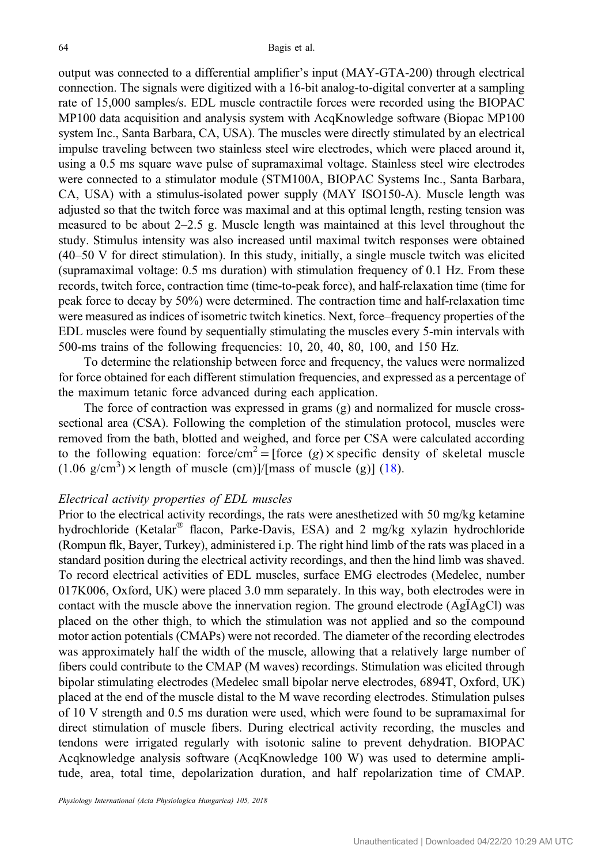output was connected to a differential amplifier's input (MAY-GTA-200) through electrical connection. The signals were digitized with a 16-bit analog-to-digital converter at a sampling rate of 15,000 samples/s. EDL muscle contractile forces were recorded using the BIOPAC MP100 data acquisition and analysis system with AcqKnowledge software (Biopac MP100 system Inc., Santa Barbara, CA, USA). The muscles were directly stimulated by an electrical impulse traveling between two stainless steel wire electrodes, which were placed around it, using a 0.5 ms square wave pulse of supramaximal voltage. Stainless steel wire electrodes were connected to a stimulator module (STM100A, BIOPAC Systems Inc., Santa Barbara, CA, USA) with a stimulus-isolated power supply (MAY ISO150-A). Muscle length was adjusted so that the twitch force was maximal and at this optimal length, resting tension was measured to be about  $2-2.5$  g. Muscle length was maintained at this level throughout the study. Stimulus intensity was also increased until maximal twitch responses were obtained (40–50 V for direct stimulation). In this study, initially, a single muscle twitch was elicited (supramaximal voltage: 0.5 ms duration) with stimulation frequency of 0.1 Hz. From these records, twitch force, contraction time (time-to-peak force), and half-relaxation time (time for peak force to decay by 50%) were determined. The contraction time and half-relaxation time were measured as indices of isometric twitch kinetics. Next, force–frequency properties of the EDL muscles were found by sequentially stimulating the muscles every 5-min intervals with 500-ms trains of the following frequencies: 10, 20, 40, 80, 100, and 150 Hz.

To determine the relationship between force and frequency, the values were normalized for force obtained for each different stimulation frequencies, and expressed as a percentage of the maximum tetanic force advanced during each application.

The force of contraction was expressed in grams (g) and normalized for muscle crosssectional area (CSA). Following the completion of the stimulation protocol, muscles were removed from the bath, blotted and weighed, and force per CSA were calculated according to the following equation: force/cm<sup>2</sup> = [force (g) × specific density of skeletal muscle  $(1.06 \text{ g/cm}^3)$  × length of muscle (cm)]/[mass of muscle (g)] [\(18\)](#page-14-0).

## Electrical activity properties of EDL muscles

Prior to the electrical activity recordings, the rats were anesthetized with 50 mg/kg ketamine hydrochloride (Ketalar® flacon, Parke-Davis, ESA) and 2 mg/kg xylazin hydrochloride (Rompun flk, Bayer, Turkey), administered i.p. The right hind limb of the rats was placed in a standard position during the electrical activity recordings, and then the hind limb was shaved. To record electrical activities of EDL muscles, surface EMG electrodes (Medelec, number 017K006, Oxford, UK) were placed 3.0 mm separately. In this way, both electrodes were in contact with the muscle above the innervation region. The ground electrode (AgÏAgCl) was placed on the other thigh, to which the stimulation was not applied and so the compound motor action potentials (CMAPs) were not recorded. The diameter of the recording electrodes was approximately half the width of the muscle, allowing that a relatively large number of fibers could contribute to the CMAP (M waves) recordings. Stimulation was elicited through bipolar stimulating electrodes (Medelec small bipolar nerve electrodes, 6894T, Oxford, UK) placed at the end of the muscle distal to the M wave recording electrodes. Stimulation pulses of 10 V strength and 0.5 ms duration were used, which were found to be supramaximal for direct stimulation of muscle fibers. During electrical activity recording, the muscles and tendons were irrigated regularly with isotonic saline to prevent dehydration. BIOPAC Acqknowledge analysis software (AcqKnowledge 100 W) was used to determine amplitude, area, total time, depolarization duration, and half repolarization time of CMAP.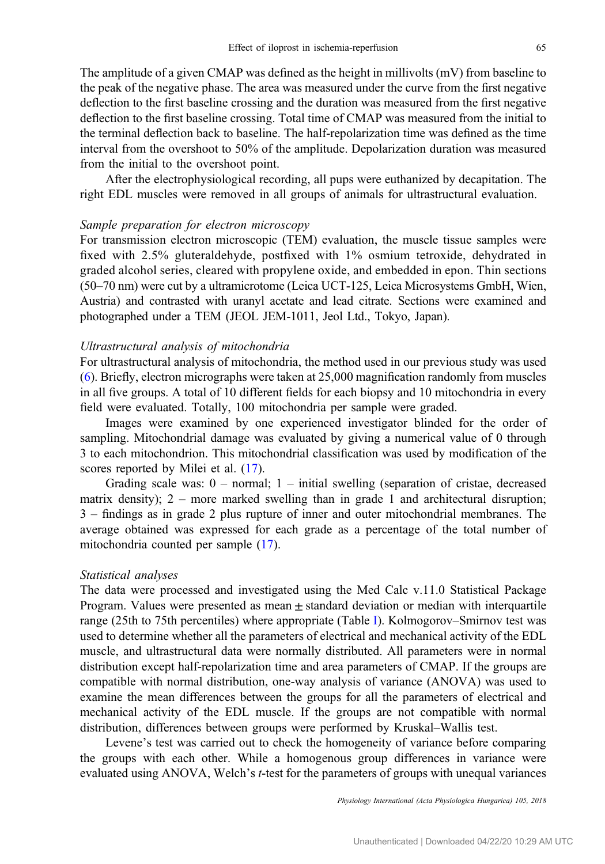The amplitude of a given CMAP was defined as the height in millivolts (mV) from baseline to the peak of the negative phase. The area was measured under the curve from the first negative deflection to the first baseline crossing and the duration was measured from the first negative deflection to the first baseline crossing. Total time of CMAP was measured from the initial to the terminal deflection back to baseline. The half-repolarization time was defined as the time interval from the overshoot to 50% of the amplitude. Depolarization duration was measured from the initial to the overshoot point.

After the electrophysiological recording, all pups were euthanized by decapitation. The right EDL muscles were removed in all groups of animals for ultrastructural evaluation.

#### Sample preparation for electron microscopy

For transmission electron microscopic (TEM) evaluation, the muscle tissue samples were fixed with 2.5% gluteraldehyde, postfixed with 1% osmium tetroxide, dehydrated in graded alcohol series, cleared with propylene oxide, and embedded in epon. Thin sections (50–70 nm) were cut by a ultramicrotome (Leica UCT-125, Leica Microsystems GmbH, Wien, Austria) and contrasted with uranyl acetate and lead citrate. Sections were examined and photographed under a TEM (JEOL JEM-1011, Jeol Ltd., Tokyo, Japan).

#### Ultrastructural analysis of mitochondria

For ultrastructural analysis of mitochondria, the method used in our previous study was used [\(6](#page-13-0)). Briefly, electron micrographs were taken at 25,000 magnification randomly from muscles in all five groups. A total of 10 different fields for each biopsy and 10 mitochondria in every field were evaluated. Totally, 100 mitochondria per sample were graded.

Images were examined by one experienced investigator blinded for the order of sampling. Mitochondrial damage was evaluated by giving a numerical value of 0 through 3 to each mitochondrion. This mitochondrial classification was used by modification of the scores reported by Milei et al. ([17\)](#page-14-0).

Grading scale was:  $0$  – normal;  $1$  – initial swelling (separation of cristae, decreased matrix density); 2 – more marked swelling than in grade 1 and architectural disruption; 3 – findings as in grade 2 plus rupture of inner and outer mitochondrial membranes. The average obtained was expressed for each grade as a percentage of the total number of mitochondria counted per sample [\(17](#page-14-0)).

#### Statistical analyses

The data were processed and investigated using the Med Calc v.11.0 Statistical Package Program. Values were presented as mean  $\pm$  standard deviation or median with interquartile range (25th to 75th percentiles) where appropriate (Table [I](#page-7-0)). Kolmogorov–Smirnov test was used to determine whether all the parameters of electrical and mechanical activity of the EDL muscle, and ultrastructural data were normally distributed. All parameters were in normal distribution except half-repolarization time and area parameters of CMAP. If the groups are compatible with normal distribution, one-way analysis of variance (ANOVA) was used to examine the mean differences between the groups for all the parameters of electrical and mechanical activity of the EDL muscle. If the groups are not compatible with normal distribution, differences between groups were performed by Kruskal–Wallis test.

Levene's test was carried out to check the homogeneity of variance before comparing the groups with each other. While a homogenous group differences in variance were evaluated using ANOVA, Welch's t-test for the parameters of groups with unequal variances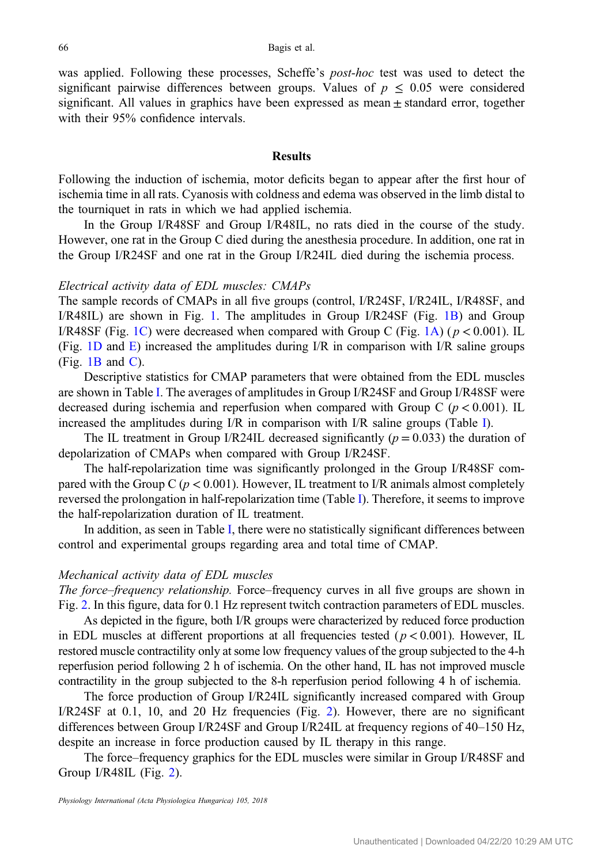was applied. Following these processes, Scheffe's post-hoc test was used to detect the significant pairwise differences between groups. Values of  $p \leq 0.05$  were considered significant. All values in graphics have been expressed as mean ± standard error, together with their 95% confidence intervals.

### **Results**

Following the induction of ischemia, motor deficits began to appear after the first hour of ischemia time in all rats. Cyanosis with coldness and edema was observed in the limb distal to the tourniquet in rats in which we had applied ischemia.

In the Group I/R48SF and Group I/R48IL, no rats died in the course of the study. However, one rat in the Group C died during the anesthesia procedure. In addition, one rat in the Group I/R24SF and one rat in the Group I/R24IL died during the ischemia process.

## Electrical activity data of EDL muscles: CMAPs

The sample records of CMAPs in all five groups (control, I/R24SF, I/R24IL, I/R48SF, and I/R48IL) are shown in Fig. [1](#page-6-0). The amplitudes in Group I/R24SF (Fig. [1B\)](#page-6-0) and Group I/R48SF (Fig. [1C](#page-6-0)) were decreased when compared with Group C (Fig. [1A\)](#page-6-0) ( $p < 0.001$ ). IL (Fig. [1D](#page-6-0) and [E\)](#page-6-0) increased the amplitudes during I/R in comparison with I/R saline groups  $(Fig. 1B and C).$  $(Fig. 1B and C).$  $(Fig. 1B and C).$  $(Fig. 1B and C).$  $(Fig. 1B and C).$ 

Descriptive statistics for CMAP parameters that were obtained from the EDL muscles are shown in Table [I.](#page-7-0) The averages of amplitudes in Group I/R24SF and Group I/R48SF were decreased during ischemia and reperfusion when compared with Group C ( $p < 0.001$ ). IL increased the amplitudes during I/R in comparison with I/R saline groups (Table [I\)](#page-7-0).

The IL treatment in Group I/R24IL decreased significantly ( $p = 0.033$ ) the duration of depolarization of CMAPs when compared with Group I/R24SF.

The half-repolarization time was significantly prolonged in the Group I/R48SF compared with the Group C ( $p < 0.001$ ). However, IL treatment to I/R animals almost completely reversed the prolongation in half-repolarization time (Table [I\)](#page-7-0). Therefore, it seems to improve the half-repolarization duration of IL treatment.

In addition, as seen in Table [I](#page-7-0), there were no statistically significant differences between control and experimental groups regarding area and total time of CMAP.

#### Mechanical activity data of EDL muscles

The force–frequency relationship. Force–frequency curves in all five groups are shown in Fig. [2.](#page-7-0) In this figure, data for 0.1 Hz represent twitch contraction parameters of EDL muscles.

As depicted in the figure, both I/R groups were characterized by reduced force production in EDL muscles at different proportions at all frequencies tested ( $p < 0.001$ ). However, IL restored muscle contractility only at some low frequency values of the group subjected to the 4-h reperfusion period following 2 h of ischemia. On the other hand, IL has not improved muscle contractility in the group subjected to the 8-h reperfusion period following 4 h of ischemia.

The force production of Group I/R24IL significantly increased compared with Group I/R24SF at 0.1, 10, and 20 Hz frequencies (Fig. [2\)](#page-7-0). However, there are no significant differences between Group I/R24SF and Group I/R24IL at frequency regions of 40–150 Hz, despite an increase in force production caused by IL therapy in this range.

The force–frequency graphics for the EDL muscles were similar in Group I/R48SF and Group I/R48IL (Fig. [2\)](#page-7-0).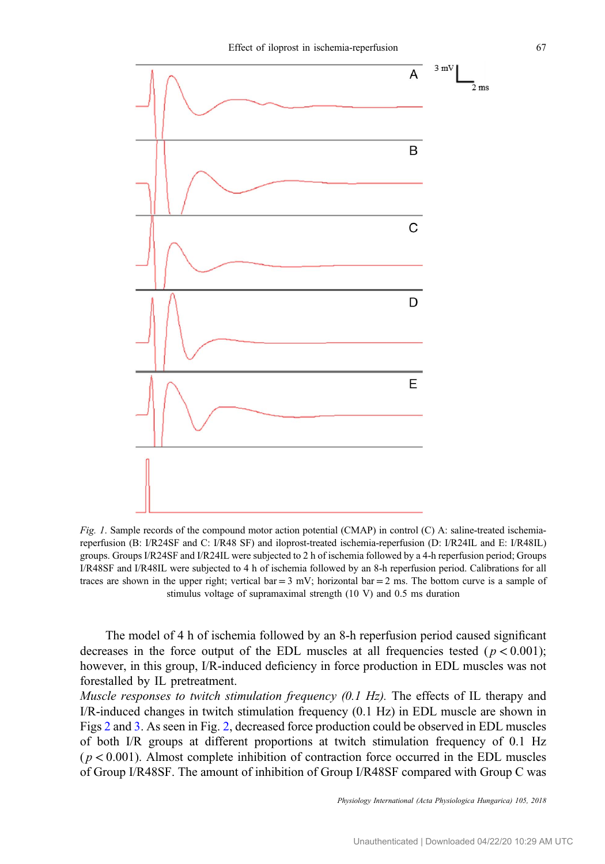<span id="page-6-0"></span>

Fig. 1. Sample records of the compound motor action potential (CMAP) in control (C) A: saline-treated ischemiareperfusion (B: I/R24SF and C: I/R48 SF) and iloprost-treated ischemia-reperfusion (D: I/R24IL and E: I/R48IL) groups. Groups I/R24SF and I/R24IL were subjected to 2 h of ischemia followed by a 4-h reperfusion period; Groups I/R48SF and I/R48IL were subjected to 4 h of ischemia followed by an 8-h reperfusion period. Calibrations for all traces are shown in the upper right; vertical bar  $= 3$  mV; horizontal bar  $= 2$  ms. The bottom curve is a sample of stimulus voltage of supramaximal strength (10 V) and 0.5 ms duration

The model of 4 h of ischemia followed by an 8-h reperfusion period caused significant decreases in the force output of the EDL muscles at all frequencies tested  $(p < 0.001)$ ; however, in this group, I/R-induced deficiency in force production in EDL muscles was not forestalled by IL pretreatment.

*Muscle responses to twitch stimulation frequency*  $(0.1 \text{ Hz})$ *.* The effects of IL therapy and I/R-induced changes in twitch stimulation frequency (0.1 Hz) in EDL muscle are shown in Figs [2](#page-7-0) and [3.](#page-8-0) As seen in Fig. [2,](#page-7-0) decreased force production could be observed in EDL muscles of both I/R groups at different proportions at twitch stimulation frequency of 0.1 Hz  $(p < 0.001)$ . Almost complete inhibition of contraction force occurred in the EDL muscles of Group I/R48SF. The amount of inhibition of Group I/R48SF compared with Group C was

Physiology International (Acta Physiologica Hungarica) 105, 2018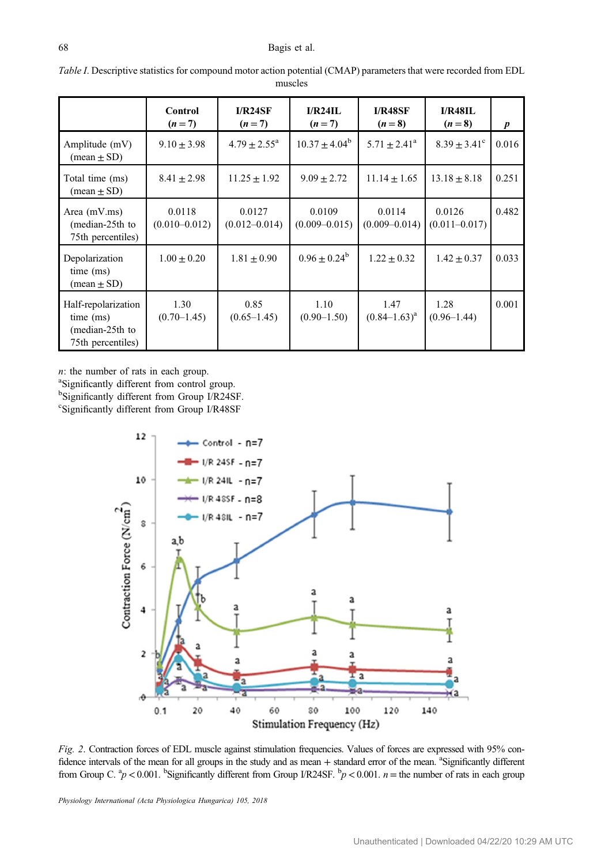|                                                                          | Control<br>$(n=7)$          | I/R24SF<br>$(n=7)$          | I/R24IL<br>$(n=7)$          | <b>I/R48SF</b><br>$(n=8)$   | I/R48IL<br>$(n=8)$          | $\boldsymbol{p}$ |
|--------------------------------------------------------------------------|-----------------------------|-----------------------------|-----------------------------|-----------------------------|-----------------------------|------------------|
| Amplitude (mV)<br>$(\text{mean} \pm \text{SD})$                          | $9.10 \pm 3.98$             | $4.79 \pm 2.55^{\circ}$     | $10.37 \pm 4.04^b$          | $5.71 \pm 2.41^{\circ}$     | $8.39 \pm 3.41^{\circ}$     | 0.016            |
| Total time (ms)<br>$(\text{mean} \pm \text{SD})$                         | $8.41 \pm 2.98$             | $11.25 \pm 1.92$            | $9.09 \pm 2.72$             | $11.14 \pm 1.65$            | $13.18 \pm 8.18$            | 0.251            |
| Area (mV.ms)<br>(median-25th to<br>75th percentiles)                     | 0.0118<br>$(0.010 - 0.012)$ | 0.0127<br>$(0.012 - 0.014)$ | 0.0109<br>$(0.009 - 0.015)$ | 0.0114<br>$(0.009 - 0.014)$ | 0.0126<br>$(0.011 - 0.017)$ | 0.482            |
| Depolarization<br>time (ms)<br>$(\text{mean} \pm \text{SD})$             | $1.00 \pm 0.20$             | $1.81 \pm 0.90$             | $0.96 + 0.24^b$             | $1.22 + 0.32$               | $1.42 \pm 0.37$             | 0.033            |
| Half-repolarization<br>time (ms)<br>(median-25th to<br>75th percentiles) | 1.30<br>$(0.70 - 1.45)$     | 0.85<br>$(0.65 - 1.45)$     | 1.10<br>$(0.90-1.50)$       | 1.47<br>$(0.84 - 1.63)^a$   | 1.28<br>$(0.96 - 1.44)$     | 0.001            |

<span id="page-7-0"></span>Table I. Descriptive statistics for compound motor action potential (CMAP) parameters that were recorded from EDL muscles

n: the number of rats in each group.

<sup>a</sup>Significantly different from control group.<br><sup>b</sup>Significantly different from Group L/R24S

bSignificantly different from Group I/R24SF.

Significantly different from Group I/R48SF



Fig. 2. Contraction forces of EDL muscle against stimulation frequencies. Values of forces are expressed with 95% confidence intervals of the mean for all groups in the study and as mean + standard error of the mean. a Significantly different from Group C.  ${}^{a}p$  < 0.001. <sup>b</sup>Significantly different from Group I/R24SF.  ${}^{b}p$  < 0.001. *n* = the number of rats in each group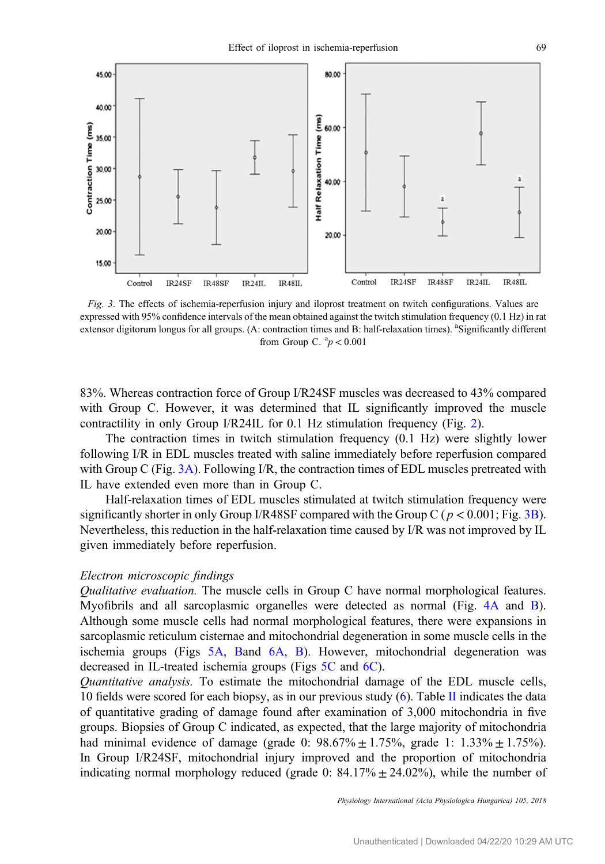<span id="page-8-0"></span>

Fig. 3. The effects of ischemia-reperfusion injury and iloprost treatment on twitch configurations. Values are expressed with 95% confidence intervals of the mean obtained against the twitch stimulation frequency (0.1 Hz) in rat extensor digitorum longus for all groups. (A: contraction times and B: half-relaxation times). <sup>a</sup>Significantly different from Group C.  ${}^{a}p < 0.001$ 

83%. Whereas contraction force of Group I/R24SF muscles was decreased to 43% compared with Group C. However, it was determined that IL significantly improved the muscle contractility in only Group I/R24IL for 0.1 Hz stimulation frequency (Fig. [2\)](#page-7-0).

The contraction times in twitch stimulation frequency (0.1 Hz) were slightly lower following I/R in EDL muscles treated with saline immediately before reperfusion compared with Group C (Fig. 3A). Following I/R, the contraction times of EDL muscles pretreated with IL have extended even more than in Group C.

Half-relaxation times of EDL muscles stimulated at twitch stimulation frequency were significantly shorter in only Group I/R48SF compared with the Group C ( $p < 0.001$ ; Fig. 3B). Nevertheless, this reduction in the half-relaxation time caused by I/R was not improved by IL given immediately before reperfusion.

#### Electron microscopic findings

Qualitative evaluation. The muscle cells in Group C have normal morphological features. Myofibrils and all sarcoplasmic organelles were detected as normal (Fig. [4A](#page-9-0) and [B](#page-9-0)). Although some muscle cells had normal morphological features, there were expansions in sarcoplasmic reticulum cisternae and mitochondrial degeneration in some muscle cells in the ischemia groups (Figs [5A, B](#page-9-0)and [6A, B\)](#page-10-0). However, mitochondrial degeneration was decreased in IL-treated ischemia groups (Figs [5C](#page-9-0) and [6C](#page-10-0)).

Quantitative analysis. To estimate the mitochondrial damage of the EDL muscle cells, 10 fields were scored for each biopsy, as in our previous study  $(6)$  $(6)$ . Table [II](#page-10-0) indicates the data of quantitative grading of damage found after examination of 3,000 mitochondria in five groups. Biopsies of Group C indicated, as expected, that the large majority of mitochondria had minimal evidence of damage (grade 0:  $98.67\% \pm 1.75\%$ , grade 1:  $1.33\% \pm 1.75\%$ ). In Group I/R24SF, mitochondrial injury improved and the proportion of mitochondria indicating normal morphology reduced (grade 0:  $84.17\% \pm 24.02\%$ ), while the number of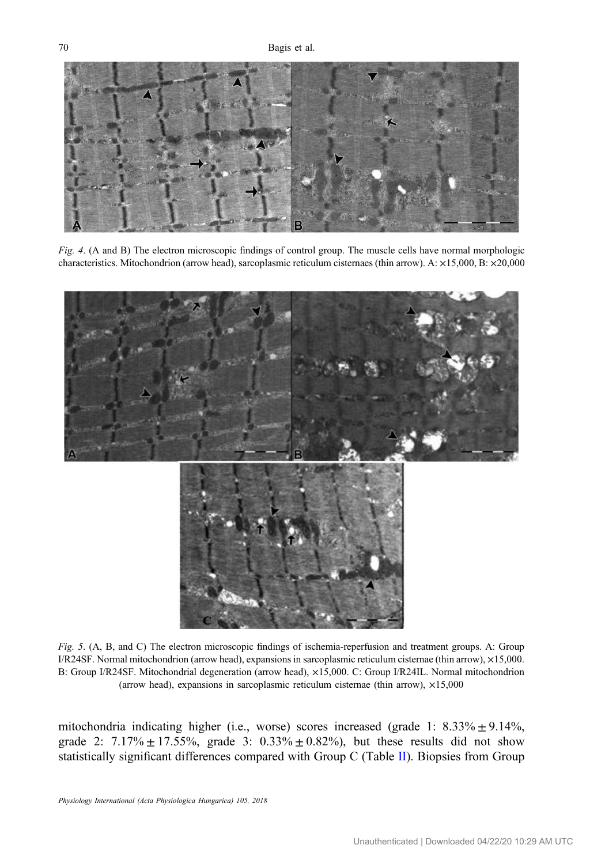<span id="page-9-0"></span>

Fig. 4. (A and B) The electron microscopic findings of control group. The muscle cells have normal morphologic characteristics. Mitochondrion (arrow head), sarcoplasmic reticulum cisternaes (thin arrow). A: ×15,000, B: ×20,000



Fig. 5. (A, B, and C) The electron microscopic findings of ischemia-reperfusion and treatment groups. A: Group I/R24SF. Normal mitochondrion (arrow head), expansions in sarcoplasmic reticulum cisternae (thin arrow), ×15,000. B: Group I/R24SF. Mitochondrial degeneration (arrow head), ×15,000. C: Group I/R24IL. Normal mitochondrion (arrow head), expansions in sarcoplasmic reticulum cisternae (thin arrow),  $\times 15,000$ 

mitochondria indicating higher (i.e., worse) scores increased (grade 1:  $8.33\% \pm 9.14\%$ , grade 2:  $7.17\% \pm 17.55\%$ , grade 3:  $0.33\% \pm 0.82\%$ , but these results did not show statistically significant differences compared with Group C (Table [II\)](#page-10-0). Biopsies from Group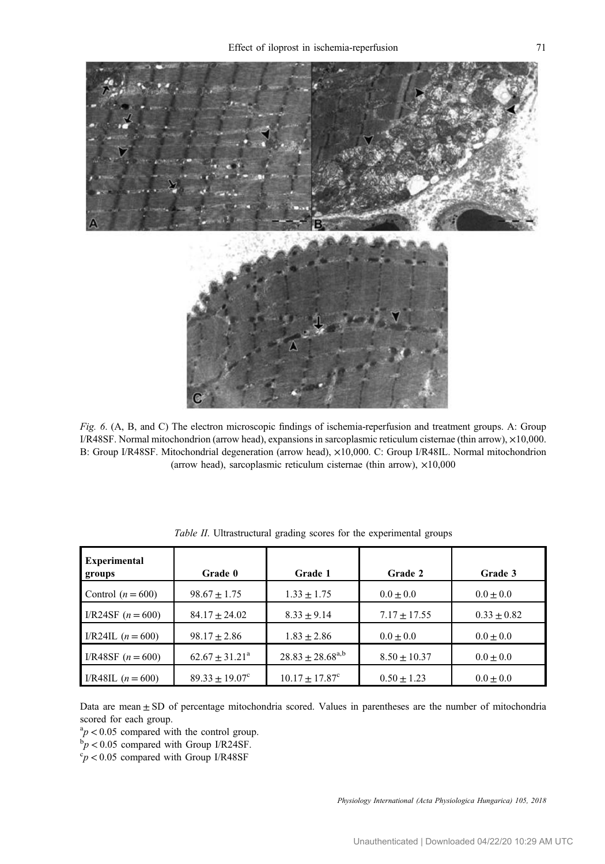<span id="page-10-0"></span>

Fig. 6. (A, B, and C) The electron microscopic findings of ischemia-reperfusion and treatment groups. A: Group I/R48SF. Normal mitochondrion (arrow head), expansions in sarcoplasmic reticulum cisternae (thin arrow), ×10,000. B: Group I/R48SF. Mitochondrial degeneration (arrow head), ×10,000. C: Group I/R48IL. Normal mitochondrion (arrow head), sarcoplasmic reticulum cisternae (thin arrow), ×10,000

| <b>Experimental</b><br>groups | Grade 0                   | Grade 1                 | Grade 2          | Grade 3         |
|-------------------------------|---------------------------|-------------------------|------------------|-----------------|
| Control $(n = 600)$           | $98.67 + 1.75$            | $1.33 + 1.75$           | $0.0 + 0.0$      | $0.0 \pm 0.0$   |
| I/R24SF $(n = 600)$           | $84.17 + 24.02$           | $8.33 + 9.14$           | $7.17 \pm 17.55$ | $0.33 \pm 0.82$ |
| I/R24IL $(n = 600)$           | $98.17 + 2.86$            | $1.83 \pm 2.86$         | $0.0 + 0.0$      | $0.0 \pm 0.0$   |
| I/R48SF $(n = 600)$           | $62.67 + 31.21^a$         | $28.83 \pm 28.68^{a,b}$ | $8.50 + 10.37$   | $0.0 + 0.0$     |
| I/R48IL $(n = 600)$           | $89.33 \pm 19.07^{\circ}$ | $10.17 + 17.87^{\circ}$ | $0.50 + 1.23$    | $0.0 \pm 0.0$   |

Table II. Ultrastructural grading scores for the experimental groups

Data are mean  $\pm$  SD of percentage mitochondria scored. Values in parentheses are the number of mitochondria scored for each group.

 $a_p^2$  < 0.05 compared with the control group.

 $p > 0.05$  compared with Group I/R24SF.

 $\degree p$  < 0.05 compared with Group I/R48SF

Physiology International (Acta Physiologica Hungarica) 105, 2018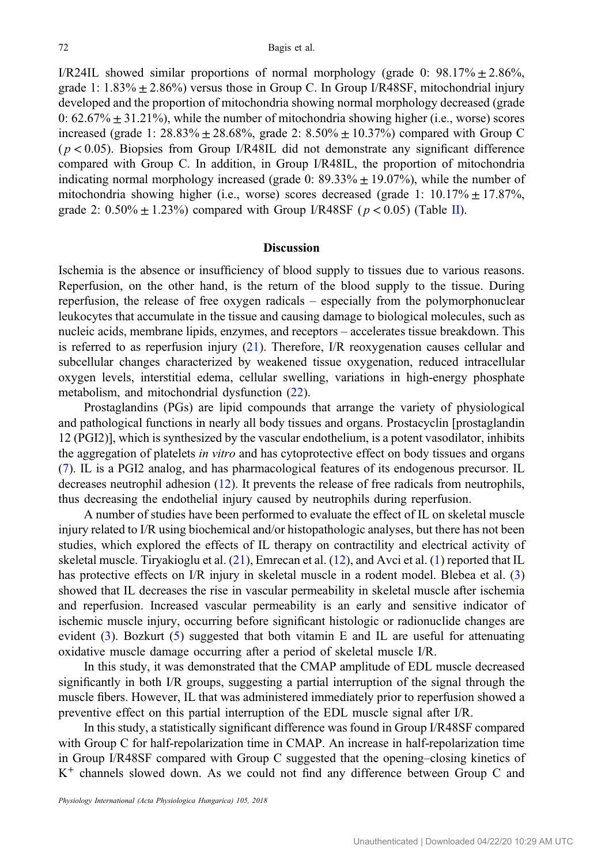I/R24IL showed similar proportions of normal morphology (grade 0:  $98.17\% \pm 2.86\%$ , grade 1:  $1.83\% \pm 2.86\%$  versus those in Group C. In Group I/R48SF, mitochondrial injury developed and the proportion of mitochondria showing normal morphology decreased (grade 0:  $62.67\% \pm 31.21\%$ , while the number of mitochondria showing higher (i.e., worse) scores increased (grade 1:  $28.83\% \pm 28.68\%$ , grade 2:  $8.50\% \pm 10.37\%$ ) compared with Group C  $(p < 0.05)$ . Biopsies from Group I/R48IL did not demonstrate any significant difference compared with Group C. In addition, in Group I/R48IL, the proportion of mitochondria indicating normal morphology increased (grade 0:  $89.33\% \pm 19.07\%$ ), while the number of mitochondria showing higher (i.e., worse) scores decreased (grade 1:  $10.17\% \pm 17.87\%$ , grade 2:  $0.50\% \pm 1.23\%$ ) compared with Group I/R48SF ( $p < 0.05$ ) (Table [II\)](#page-10-0).

### **Discussion**

Ischemia is the absence or insufficiency of blood supply to tissues due to various reasons. Reperfusion, on the other hand, is the return of the blood supply to the tissue. During reperfusion, the release of free oxygen radicals – especially from the polymorphonuclear leukocytes that accumulate in the tissue and causing damage to biological molecules, such as nucleic acids, membrane lipids, enzymes, and receptors – accelerates tissue breakdown. This is referred to as reperfusion injury [\(21](#page-14-0)). Therefore, I/R reoxygenation causes cellular and subcellular changes characterized by weakened tissue oxygenation, reduced intracellular oxygen levels, interstitial edema, cellular swelling, variations in high-energy phosphate metabolism, and mitochondrial dysfunction ([22\)](#page-14-0).

Prostaglandins (PGs) are lipid compounds that arrange the variety of physiological and pathological functions in nearly all body tissues and organs. Prostacyclin [prostaglandin 12 (PGI2)], which is synthesized by the vascular endothelium, is a potent vasodilator, inhibits the aggregation of platelets *in vitro* and has cytoprotective effect on body tissues and organs [\(7](#page-13-0)). IL is a PGI2 analog, and has pharmacological features of its endogenous precursor. IL decreases neutrophil adhesion ([12\)](#page-13-0). It prevents the release of free radicals from neutrophils, thus decreasing the endothelial injury caused by neutrophils during reperfusion.

A number of studies have been performed to evaluate the effect of IL on skeletal muscle injury related to I/R using biochemical and/or histopathologic analyses, but there has not been studies, which explored the effects of IL therapy on contractility and electrical activity of skeletal muscle. Tiryakioglu et al. [\(21](#page-14-0)), Emrecan et al. [\(12](#page-13-0)), and Avci et al. ([1\)](#page-13-0) reported that IL has protective effects on I/R injury in skeletal muscle in a rodent model. Blebea et al. ([3\)](#page-13-0) showed that IL decreases the rise in vascular permeability in skeletal muscle after ischemia and reperfusion. Increased vascular permeability is an early and sensitive indicator of ischemic muscle injury, occurring before significant histologic or radionuclide changes are evident [\(3](#page-13-0)). Bozkurt ([5\)](#page-13-0) suggested that both vitamin E and IL are useful for attenuating oxidative muscle damage occurring after a period of skeletal muscle I/R.

In this study, it was demonstrated that the CMAP amplitude of EDL muscle decreased significantly in both I/R groups, suggesting a partial interruption of the signal through the muscle fibers. However, IL that was administered immediately prior to reperfusion showed a preventive effect on this partial interruption of the EDL muscle signal after I/R.

In this study, a statistically significant difference was found in Group I/R48SF compared with Group C for half-repolarization time in CMAP. An increase in half-repolarization time in Group I/R48SF compared with Group C suggested that the opening–closing kinetics of K<sup>+</sup> channels slowed down. As we could not find any difference between Group C and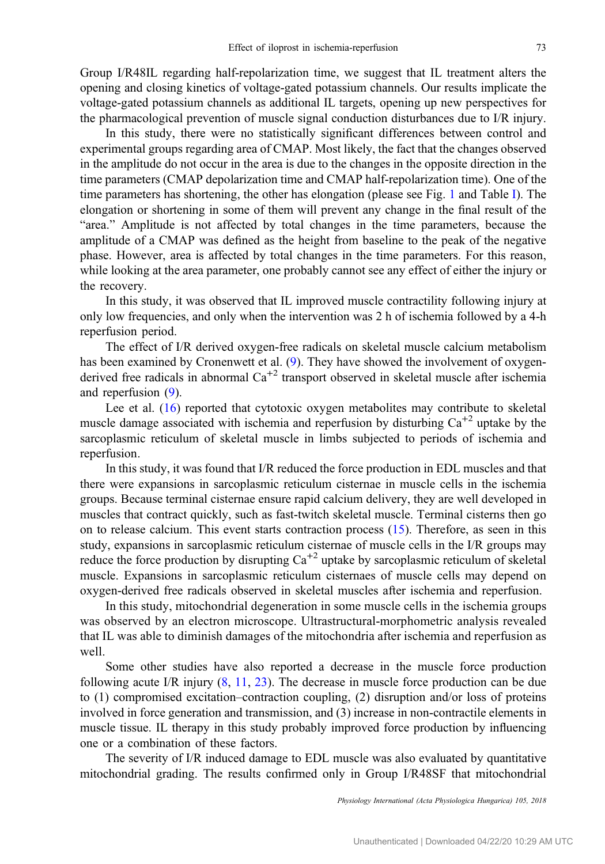Group I/R48IL regarding half-repolarization time, we suggest that IL treatment alters the opening and closing kinetics of voltage-gated potassium channels. Our results implicate the voltage-gated potassium channels as additional IL targets, opening up new perspectives for the pharmacological prevention of muscle signal conduction disturbances due to I/R injury.

In this study, there were no statistically significant differences between control and experimental groups regarding area of CMAP. Most likely, the fact that the changes observed in the amplitude do not occur in the area is due to the changes in the opposite direction in the time parameters (CMAP depolarization time and CMAP half-repolarization time). One of the time parameters has shortening, the other has elongation (please see Fig. [1](#page-6-0) and Table [I](#page-7-0)). The elongation or shortening in some of them will prevent any change in the final result of the "area." Amplitude is not affected by total changes in the time parameters, because the amplitude of a CMAP was defined as the height from baseline to the peak of the negative phase. However, area is affected by total changes in the time parameters. For this reason, while looking at the area parameter, one probably cannot see any effect of either the injury or the recovery.

In this study, it was observed that IL improved muscle contractility following injury at only low frequencies, and only when the intervention was 2 h of ischemia followed by a 4-h reperfusion period.

The effect of I/R derived oxygen-free radicals on skeletal muscle calcium metabolism has been examined by Cronenwett et al. [\(9](#page-13-0)). They have showed the involvement of oxygenderived free radicals in abnormal  $Ca^{+2}$  transport observed in skeletal muscle after ischemia and reperfusion ([9\)](#page-13-0).

Lee et al. ([16\)](#page-13-0) reported that cytotoxic oxygen metabolites may contribute to skeletal muscle damage associated with ischemia and reperfusion by disturbing  $Ca<sup>+2</sup>$  uptake by the sarcoplasmic reticulum of skeletal muscle in limbs subjected to periods of ischemia and reperfusion.

In this study, it was found that I/R reduced the force production in EDL muscles and that there were expansions in sarcoplasmic reticulum cisternae in muscle cells in the ischemia groups. Because terminal cisternae ensure rapid calcium delivery, they are well developed in muscles that contract quickly, such as fast-twitch skeletal muscle. Terminal cisterns then go on to release calcium. This event starts contraction process ([15\)](#page-13-0). Therefore, as seen in this study, expansions in sarcoplasmic reticulum cisternae of muscle cells in the I/R groups may reduce the force production by disrupting  $Ca^{+2}$  uptake by sarcoplasmic reticulum of skeletal muscle. Expansions in sarcoplasmic reticulum cisternaes of muscle cells may depend on oxygen-derived free radicals observed in skeletal muscles after ischemia and reperfusion.

In this study, mitochondrial degeneration in some muscle cells in the ischemia groups was observed by an electron microscope. Ultrastructural-morphometric analysis revealed that IL was able to diminish damages of the mitochondria after ischemia and reperfusion as well.

Some other studies have also reported a decrease in the muscle force production following acute I/R injury [\(8](#page-13-0), [11,](#page-13-0) [23\)](#page-14-0). The decrease in muscle force production can be due to (1) compromised excitation–contraction coupling, (2) disruption and/or loss of proteins involved in force generation and transmission, and (3) increase in non-contractile elements in muscle tissue. IL therapy in this study probably improved force production by influencing one or a combination of these factors.

The severity of I/R induced damage to EDL muscle was also evaluated by quantitative mitochondrial grading. The results confirmed only in Group I/R48SF that mitochondrial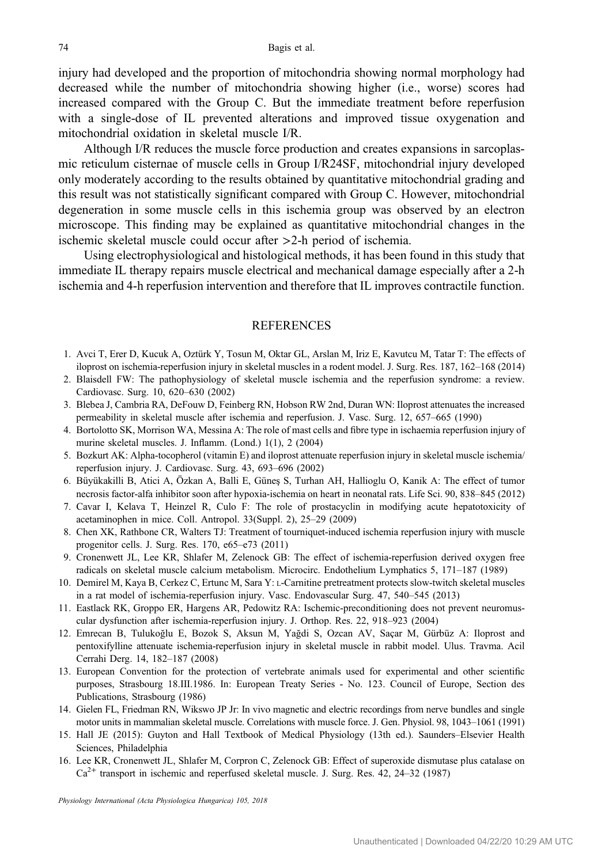<span id="page-13-0"></span>injury had developed and the proportion of mitochondria showing normal morphology had decreased while the number of mitochondria showing higher (i.e., worse) scores had increased compared with the Group C. But the immediate treatment before reperfusion with a single-dose of IL prevented alterations and improved tissue oxygenation and mitochondrial oxidation in skeletal muscle I/R.

Although I/R reduces the muscle force production and creates expansions in sarcoplasmic reticulum cisternae of muscle cells in Group I/R24SF, mitochondrial injury developed only moderately according to the results obtained by quantitative mitochondrial grading and this result was not statistically significant compared with Group C. However, mitochondrial degeneration in some muscle cells in this ischemia group was observed by an electron microscope. This finding may be explained as quantitative mitochondrial changes in the ischemic skeletal muscle could occur after >2-h period of ischemia.

Using electrophysiological and histological methods, it has been found in this study that immediate IL therapy repairs muscle electrical and mechanical damage especially after a 2-h ischemia and 4-h reperfusion intervention and therefore that IL improves contractile function.

# **REFERENCES**

- 1. Avci T, Erer D, Kucuk A, Oztürk Y, Tosun M, Oktar GL, Arslan M, Iriz E, Kavutcu M, Tatar T: The effects of iloprost on ischemia-reperfusion injury in skeletal muscles in a rodent model. J. Surg. Res. 187, 162–168 (2014)
- 2. Blaisdell FW: The pathophysiology of skeletal muscle ischemia and the reperfusion syndrome: a review. Cardiovasc. Surg. 10, 620–630 (2002)
- 3. Blebea J, Cambria RA, DeFouw D, Feinberg RN, Hobson RW 2nd, Duran WN: Iloprost attenuates the increased permeability in skeletal muscle after ischemia and reperfusion. J. Vasc. Surg. 12, 657–665 (1990)
- 4. Bortolotto SK, Morrison WA, Messina A: The role of mast cells and fibre type in ischaemia reperfusion injury of murine skeletal muscles. J. Inflamm. (Lond.) 1(1), 2 (2004)
- 5. Bozkurt AK: Alpha-tocopherol (vitamin E) and iloprost attenuate reperfusion injury in skeletal muscle ischemia/ reperfusion injury. J. Cardiovasc. Surg. 43, 693–696 (2002)
- 6. Büyükakilli B, Atici A, Özkan A, Balli E, Güneş S, Turhan AH, Hallioglu O, Kanik A: The effect of tumor necrosis factor-alfa inhibitor soon after hypoxia-ischemia on heart in neonatal rats. Life Sci. 90, 838–845 (2012)
- 7. Cavar I, Kelava T, Heinzel R, Culo F: The role of prostacyclin in modifying acute hepatotoxicity of acetaminophen in mice. Coll. Antropol. 33(Suppl. 2), 25–29 (2009)
- 8. Chen XK, Rathbone CR, Walters TJ: Treatment of tourniquet-induced ischemia reperfusion injury with muscle progenitor cells. J. Surg. Res. 170, e65–e73 (2011)
- 9. Cronenwett JL, Lee KR, Shlafer M, Zelenock GB: The effect of ischemia-reperfusion derived oxygen free radicals on skeletal muscle calcium metabolism. Microcirc. Endothelium Lymphatics 5, 171–187 (1989)
- 10. Demirel M, Kaya B, Cerkez C, Ertunc M, Sara Y: L-Carnitine pretreatment protects slow-twitch skeletal muscles in a rat model of ischemia-reperfusion injury. Vasc. Endovascular Surg. 47, 540–545 (2013)
- 11. Eastlack RK, Groppo ER, Hargens AR, Pedowitz RA: Ischemic-preconditioning does not prevent neuromuscular dysfunction after ischemia-reperfusion injury. J. Orthop. Res. 22, 918–923 (2004)
- 12. Emrecan B, Tulukoğlu E, Bozok S, Aksun M, Yağdi S, Ozcan AV, Saçar M, Gürbüz A: Iloprost and pentoxifylline attenuate ischemia-reperfusion injury in skeletal muscle in rabbit model. Ulus. Travma. Acil Cerrahi Derg. 14, 182–187 (2008)
- 13. European Convention for the protection of vertebrate animals used for experimental and other scientific purposes, Strasbourg 18.III.1986. In: European Treaty Series - No. 123. Council of Europe, Section des Publications, Strasbourg (1986)
- 14. Gielen FL, Friedman RN, Wikswo JP Jr: In vivo magnetic and electric recordings from nerve bundles and single motor units in mammalian skeletal muscle. Correlations with muscle force. J. Gen. Physiol. 98, 1043–1061 (1991)
- 15. Hall JE (2015): Guyton and Hall Textbook of Medical Physiology (13th ed.). Saunders–Elsevier Health Sciences, Philadelphia
- 16. Lee KR, Cronenwett JL, Shlafer M, Corpron C, Zelenock GB: Effect of superoxide dismutase plus catalase on  $Ca<sup>2+</sup>$  transport in ischemic and reperfused skeletal muscle. J. Surg. Res. 42, 24–32 (1987)